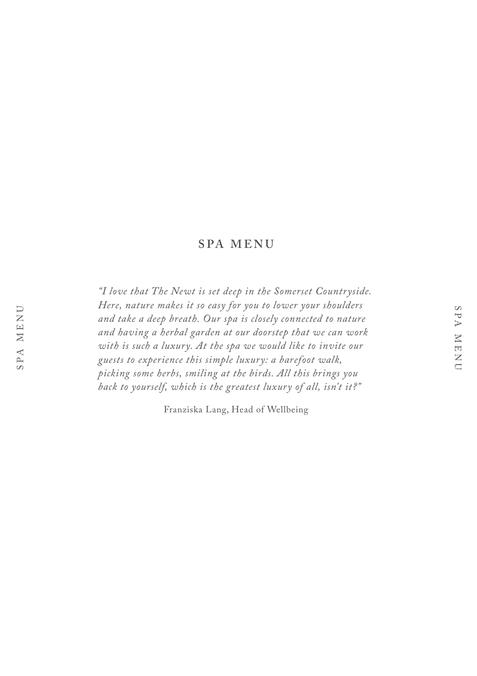## **SPA MENU**

*"I love that The Newt is set deep in the Somerset Countryside. Here, nature makes it so easy for you to lower your shoulders and take a deep breath. Our spa is closely connected to nature and having a herbal garden at our doorstep that we can work with is such a luxury. At the spa we would like to invite our guests to experience this simple luxury: a barefoot walk, picking some herbs, smiling at the birds. All this brings you back to yourself, which is the greatest luxury of all, isn't it?"* 

Franziska Lang, Head of Wellbeing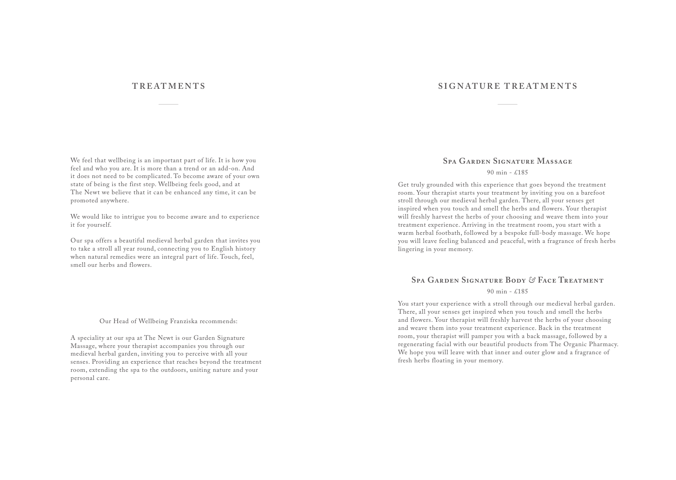### **TREATMENTS SIGNATURE TREATMENTS**

We feel that wellbeing is an important part of life. It is how you feel and who you are. It is more than a trend or an add-on. And it does not need to be complicated. To become aware of your own state of being is the first step. Wellbeing feels good, and at The Newt we believe that it can be enhanced any time, it can be promoted anywhere.

We would like to intrigue you to become aware and to experience it for yourself.

Our spa offers a beautiful medieval herbal garden that invites you to take a stroll all year round, connecting you to English history when natural remedies were an integral part of life. Touch, feel, smell our herbs and flowers.

#### Our Head of Wellbeing Franziska recommends:

A speciality at our spa at The Newt is our Garden Signature Massage, where your therapist accompanies you through our medieval herbal garden, inviting you to perceive with all your senses. Providing an experience that reaches beyond the treatment room, extending the spa to the outdoors, uniting nature and your personal care.

#### **Spa Garden Signature Massage**

#### 90 min - £185

Get truly grounded with this experience that goes beyond the treatment room. Your therapist starts your treatment by inviting you on a barefoot stroll through our medieval herbal garden. There, all your senses get inspired when you touch and smell the herbs and flowers. Your therapist will freshly harvest the herbs of your choosing and weave them into your treatment experience. Arriving in the treatment room, you start with a warm herbal footbath, followed by a bespoke full-body massage. We hope you will leave feeling balanced and peaceful, with a fragrance of fresh herbs lingering in your memory.

# **Spa Garden Signature Body** *&* **Face Treatment**

#### 90 min -  $f185$

You start your experience with a stroll through our medieval herbal garden. There, all your senses get inspired when you touch and smell the herbs and flowers. Your therapist will freshly harvest the herbs of your choosing and weave them into your treatment experience. Back in the treatment room, your therapist will pamper you with a back massage, followed by a regenerating facial with our beautiful products from The Organic Pharmacy. We hope you will leave with that inner and outer glow and a fragrance of fresh herbs floating in your memory.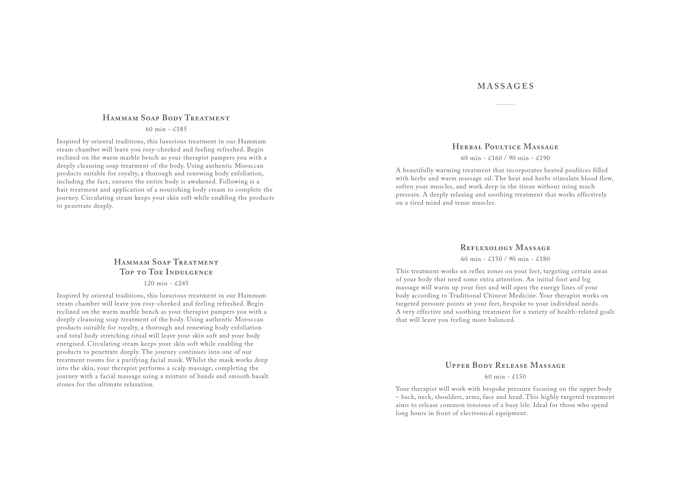### **Hammam Soap Body Treatment**

60 min - £185

Inspired by oriental traditions, this luxurious treatment in our Hammam steam chamber will leave you rosy-cheeked and feeling refreshed. Begin reclined on the warm marble bench as your therapist pampers you with a deeply cleansing soap treatment of the body. Using authentic Moroccan products suitable for royalty, a thorough and renewing body exfoliation, including the face, ensures the entire body is awakened. Following is a hair treatment and application of a nourishing body cream to complete the journey. Circulating steam keeps your skin soft while enabling the products to penetrate deeply.

# **Hammam Soap Treatment Top to Toe Indulgence**

120 min - £245

Inspired by oriental traditions, this luxurious treatment in our Hammam steam chamber will leave you rosy-cheeked and feeling refreshed. Begin reclined on the warm marble bench as your therapist pampers you with a deeply cleansing soap treatment of the body. Using authentic Moroccan products suitable for royalty, a thorough and renewing body exfoliation and total body stretching ritual will leave your skin soft and your body energised. Circulating steam keeps your skin soft while enabling the products to penetrate deeply. The journey continues into one of our treatment rooms for a purifying facial mask. Whilst the mask works deep into the skin, your therapist performs a scalp massage, completing the journey with a facial massage using a mixture of hands and smooth basalt stones for the ultimate relaxation.

### **MASSAGES**

### **HERBAL POULTICE MASSAGE**

#### 60 min - £160 / 90 min - £190

A beautifully warming treatment that incorporates heated poultices filled with herbs and warm massage oil. The heat and herbs stimulate blood flow, soften your muscles, and work deep in the tissue without using much pressure. A deeply relaxing and soothing treatment that works effectively on a tired mind and tense muscles.

### **Reflexology Massage**

60 min - £150 / 90 min - £180

This treatment works on reflex zones on your feet, targeting certain areas of your body that need some extra attention. An initial foot and leg massage will warm up your feet and will open the energy lines of your body according to Traditional Chinese Medicine. Your therapist works on targeted pressure points at your feet, bespoke to your individual needs. A very effective and soothing treatment for a variety of health-related goals that will leave you feeling more balanced.

### **Upper Body Release Massage**

#### 60 min -  $£150$

Your therapist will work with bespoke pressure focusing on the upper body – back, neck, shoulders, arms, face and head. This highly targeted treatment aims to release common tensions of a busy life. Ideal for those who spend long hours in front of electronical equipment.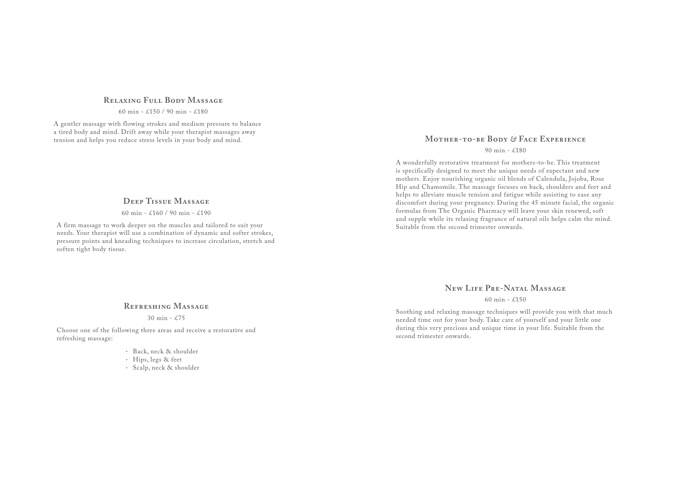#### **Relaxing Full Body Massage**

60 min - £150 / 90 min - £180

A gentler massage with flowing strokes and medium pressure to balance a tired body and mind. Drift away while your therapist massages away tension and helps you reduce stress levels in your body and mind.

### **Deep Tissue Massage**

60 min - £160 / 90 min - £190

A firm massage to work deeper on the muscles and tailored to suit your needs. Your therapist will use a combination of dynamic and softer strokes, pressure points and kneading techniques to increase circulation, stretch and soften tight body tissue.

# **Mother-to-be Body** *&* **Face Experience**

#### 90 min - £180

A wonderfully restorative treatment for mothers-to-be. This treatment is specifically designed to meet the unique needs of expectant and new mothers. Enjoy nourishing organic oil blends of Calendula, Jojoba, Rose Hip and Chamomile. The massage focuses on back, shoulders and feet and helps to alleviate muscle tension and fatigue while assisting to ease any discomfort during your pregnancy. During the 45 minute facial, the organic formulas from The Organic Pharmacy will leave your skin renewed, soft and supple while its relaxing fragrance of natural oils helps calm the mind. Suitable from the second trimester onwards.

### **New Life Pre-Natal Massage**

#### 60 min -  $£150$

Soothing and relaxing massage techniques will provide you with that much needed time out for your body. Take care of yourself and your little one during this very precious and unique time in your life. Suitable from the second trimester onwards.

#### **Refreshing Massage**

30 min - £75

Choose one of the following three areas and receive a restorative and refreshing massage:

- Back, neck & shoulder
- $\cdot$  Hips, legs & feet
- Scalp, neck & shoulder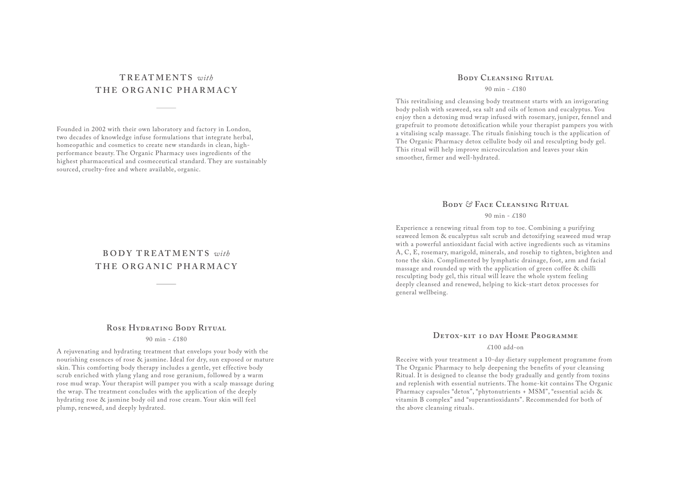# **TREATMENTS** *with* **THE ORGANIC PHARMACY**

Founded in 2002 with their own laboratory and factory in London, two decades of knowledge infuse formulations that integrate herbal, homeopathic and cosmetics to create new standards in clean, highperformance beauty. The Organic Pharmacy uses ingredients of the highest pharmaceutical and cosmeceutical standard. They are sustainably sourced, cruelty-free and where available, organic.

# **BODY TREATMENTS** *with* **THE ORGANIC PHARMACY**

#### **Rose Hydrating Body Ritual**

90 min - £180

A rejuvenating and hydrating treatment that envelops your body with the nourishing essences of rose & jasmine. Ideal for dry, sun exposed or mature skin. This comforting body therapy includes a gentle, yet effective body scrub enriched with ylang ylang and rose geranium, followed by a warm rose mud wrap. Your therapist will pamper you with a scalp massage during the wrap. The treatment concludes with the application of the deeply hydrating rose & jasmine body oil and rose cream. Your skin will feel plump, renewed, and deeply hydrated.

#### **Body Cleansing Ritual**

 $90 \text{ min} - 4180$ 

This revitalising and cleansing body treatment starts with an invigorating body polish with seaweed, sea salt and oils of lemon and eucalyptus. You enjoy then a detoxing mud wrap infused with rosemary, juniper, fennel and grapefruit to promote detoxification while your therapist pampers you with a vitalising scalp massage. The rituals finishing touch is the application of The Organic Pharmacy detox cellulite body oil and resculpting body gel. This ritual will help improve microcirculation and leaves your skin smoother, firmer and well-hydrated.

### **Body** *&* **Face Cleansing Ritual**

#### $90 \text{ min} - 4180$

Experience a renewing ritual from top to toe. Combining a purifying seaweed lemon & eucalyptus salt scrub and detoxifying seaweed mud wrap with a powerful antioxidant facial with active ingredients such as vitamins A, C, E, rosemary, marigold, minerals, and rosehip to tighten, brighten and tone the skin. Complimented by lymphatic drainage, foot, arm and facial massage and rounded up with the application of green coffee & chilli resculpting body gel, this ritual will leave the whole system feeling deeply cleansed and renewed, helping to kick-start detox processes for general wellbeing.

### **Detox-kit 10 day Home Programme**

#### $£100$  add-on

Receive with your treatment a 10-day dietary supplement programme from The Organic Pharmacy to help deepening the benefits of your cleansing Ritual. It is designed to cleanse the body gradually and gently from toxins and replenish with essential nutrients. The home-kit contains The Organic Pharmacy capsules "detox", "phytonutrients + MSM", "essential acids & vitamin B complex" and "superantioxidants". Recommended for both of the above cleansing rituals.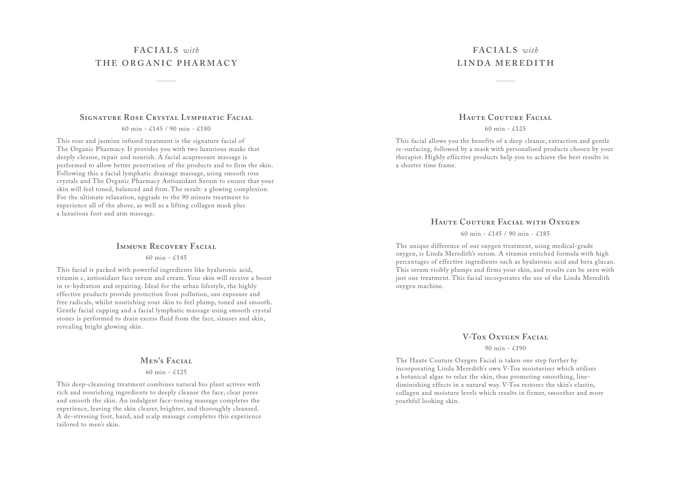# **FACIALS** *with* **THE ORGANIC PHARMACY**

#### **Signature Rose Crystal Lymphatic Facial**

60 min - £145 / 90 min - £180

This rose and jasmine infused treatment is the signature facial of The Organic Pharmacy. It provides you with two luxurious masks that deeply cleanse, repair and nourish. A facial acupressure massage is performed to allow better penetration of the products and to firm the skin. Following this a facial lymphatic drainage massage, using smooth rose crystals and The Organic Pharmacy Antioxidant Serum to ensure that your skin will feel toned, balanced and firm. The result: a glowing complexion. For the ultimate relaxation, upgrade to the 90 minute treatment to experience all of the above, as well as a lifting collagen mask plus a luxurious foot and arm massage.

#### **IMMUNE RECOVERY FACIAL**

60 min - £145

This facial is packed with powerful ingredients like hyaluronic acid, vitamin c, antioxidant face serum and cream. Your skin will receive a boost in re-hydration and repairing. Ideal for the urban lifestyle, the highly effective products provide protection from pollution, sun exposure and free radicals, whilst nourishing your skin to feel plump, toned and smooth. Gentle facial cupping and a facial lymphatic massage using smooth crystal stones is performed to drain excess fluid from the face, sinuses and skin, revealing bright glowing skin.

#### MEN'S FACIAL

#### 60 min -  $£125$

This deep-cleansing treatment combines natural bio plant actives with rich and nourishing ingredients to deeply cleanse the face, clear pores and smooth the skin. An indulgent face-toning massage completes the experience, leaving the skin clearer, brighter, and thoroughly cleansed. A de-stressing foot, hand, and scalp massage completes this experience tailored to men's skin.

# **FACIALS** *with* **LINDA MEREDITH**

### **Haute Couture Facial**

60 min - £125

This facial allows you the benefits of a deep cleanse, extraction and gentle re-surfacing, followed by a mask with personalised products chosen by your therapist. Highly effective products help you to achieve the best results in a shorter time frame.

### **Haute Couture Facial with Oxygen**

60 min - £145 / 90 min - £185

The unique difference of our oxygen treatment, using medical-grade oxygen, is Linda Meredith's serum. A vitamin enriched formula with high percentages of effective ingredients such as hyaluronic acid and beta glucan. This serum visibly plumps and firms your skin, and results can be seen with just one treatment. This facial incorporates the use of the Linda Meredith oxygen machine.

#### **V-Tox Oxygen Facial**

#### 90 min - £190

The Haute Couture Oxygen Facial is taken one step further by incorporating Linda Meredith's own V-Tox moisturiser which utilises a botanical algae to relax the skin, thus promoting smoothing, linediminishing effects in a natural way. V-Tox restores the skin's elastin, collagen and moisture levels which results in firmer, smoother and more youthful looking skin.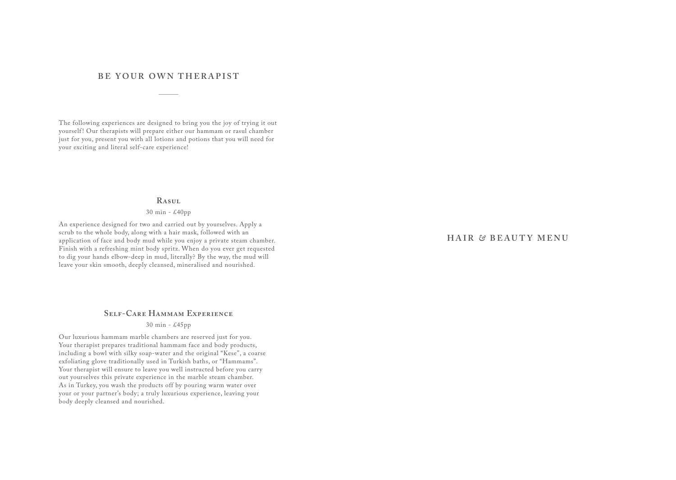### **BE YOUR OWN THERAPIST**

The following experiences are designed to bring you the joy of trying it out yourself! Our therapists will prepare either our hammam or rasul chamber just for you, present you with all lotions and potions that you will need for your exciting and literal self-care experience!

#### **Rasul**

30 min - £40pp

An experience designed for two and carried out by yourselves. Apply a scrub to the whole body, along with a hair mask, followed with an application of face and body mud while you enjoy a private steam chamber. Finish with a refreshing mint body spritz. When do you ever get requested to dig your hands elbow-deep in mud, literally? By the way, the mud will leave your skin smooth, deeply cleansed, mineralised and nourished.

## **Self-Care Hammam Experience**

30 min - £45pp

Our luxurious hammam marble chambers are reserved just for you. Your therapist prepares traditional hammam face and body products, including a bowl with silky soap-water and the original "Kese", a coarse exfoliating glove traditionally used in Turkish baths, or "Hammams". Your therapist will ensure to leave you well instructed before you carry out yourselves this private experience in the marble steam chamber. As in Turkey, you wash the products off by pouring warm water over your or your partner's body; a truly luxurious experience, leaving your body deeply cleansed and nourished.

### **HAIR** *&* **BEAUTY MENU**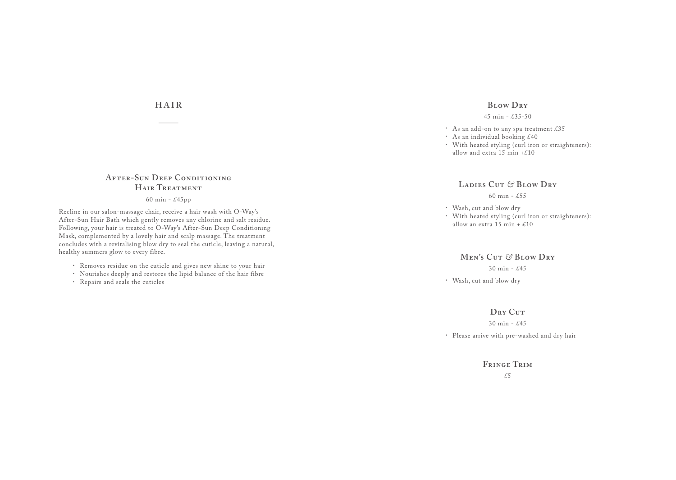# **HAIR**

# **After-Sun Deep Conditioning Hair Treatment**

60 min - £45pp

Recline in our salon-massage chair, receive a hair wash with O-Way's After-Sun Hair Bath which gently removes any chlorine and salt residue. Following, your hair is treated to O-Way's After-Sun Deep Conditioning Mask, complemented by a lovely hair and scalp massage. The treatment concludes with a revitalising blow dry to seal the cuticle, leaving a natural, healthy summers glow to every fibre.

- Removes residue on the cuticle and gives new shine to your hair
- Nourishes deeply and restores the lipid balance of the hair fibre
- Repairs and seals the cuticles

#### **Blow Dry**

#### 45 min - £35-50

- As an add-on to any spa treatment  $£35$
- $\cdot$  As an individual booking £40
- With heated styling (curl iron or straighteners): allow and extra 15 min +£10

#### **Ladies Cut** *&* **Blow Dry**

60 min -  $£55$ 

Wash, cut and blow dry With heated styling (curl iron or straighteners): allow an extra  $15$  min +  $\text{\pounds}10$ 

#### **Men's Cut** *&* **Blow Dry**

30 min - £45

Wash, cut and blow dry

#### DRY CUT

Please arrive with pre-washed and dry hair  $30 \text{ min} - \text{\pounds}45$ 

> **Fringe Trim** £5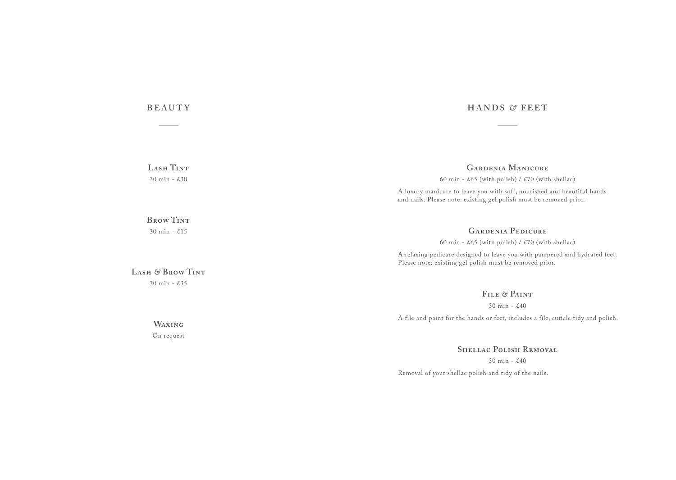# **BEAUTY**

**Lash Tint** 30 min - £30

### **Brow Tint** 30 min - £15

**Lash** *&* **Brow Tint** 30 min - £35

# **Waxing**

On request

# **HANDS** *&* **FEET**

# **Gardenia Manicure**

60 min - £65 (with polish) / £70 (with shellac)

A luxury manicure to leave you with soft, nourished and beautiful hands and nails. Please note: existing gel polish must be removed prior.

# **Gardenia Pedicure**

60 min - £65 (with polish) / £70 (with shellac)

A relaxing pedicure designed to leave you with pampered and hydrated feet. Please note: existing gel polish must be removed prior.

# **File** *&* **Paint**

30 min - £40

A file and paint for the hands or feet, includes a file, cuticle tidy and polish.

**Shellac Polish Removal**

30 min - £40

Removal of your shellac polish and tidy of the nails.